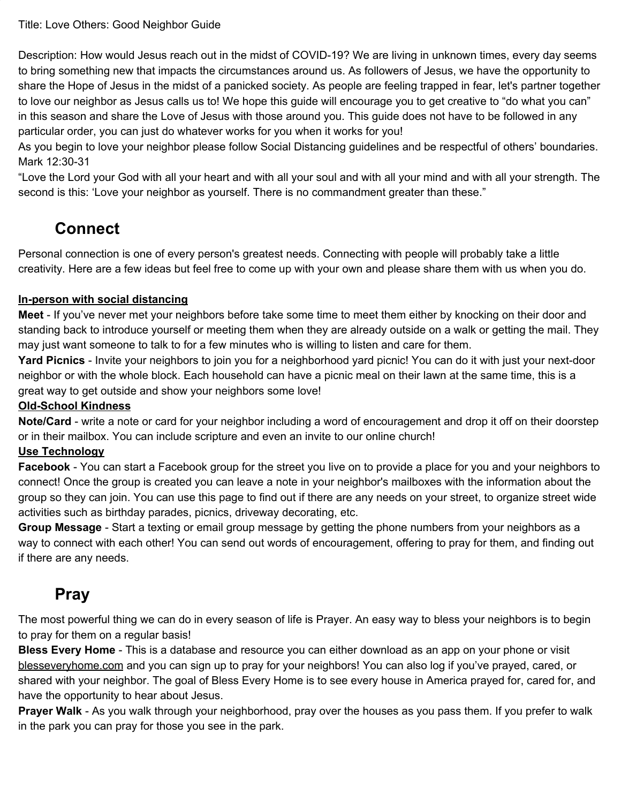#### Title: Love Others: Good Neighbor Guide

Description: How would Jesus reach out in the midst of COVID-19? We are living in unknown times, every day seems to bring something new that impacts the circumstances around us. As followers of Jesus, we have the opportunity to share the Hope of Jesus in the midst of a panicked society. As people are feeling trapped in fear, let's partner together to love our neighbor as Jesus calls us to! We hope this guide will encourage you to get creative to "do what you can" in this season and share the Love of Jesus with those around you. This guide does not have to be followed in any particular order, you can just do whatever works for you when it works for you!

As you begin to love your neighbor please follow Social Distancing guidelines and be respectful of others' boundaries. Mark 12:30-31

"Love the Lord your God with all your heart and with all your soul and with all your mind and with all your strength. The second is this: 'Love your neighbor as yourself. There is no commandment greater than these."

## **Connect**

Personal connection is one of every person's greatest needs. Connecting with people will probably take a little creativity. Here are a few ideas but feel free to come up with your own and please share them with us when you do.

#### **In-person with social distancing**

**Meet** - If you've never met your neighbors before take some time to meet them either by knocking on their door and standing back to introduce yourself or meeting them when they are already outside on a walk or getting the mail. They may just want someone to talk to for a few minutes who is willing to listen and care for them.

**Yard Picnics** - Invite your neighbors to join you for a neighborhood yard picnic! You can do it with just your next-door neighbor or with the whole block. Each household can have a picnic meal on their lawn at the same time, this is a great way to get outside and show your neighbors some love!

#### **Old-School Kindness**

**Note/Card** - write a note or card for your neighbor including a word of encouragement and drop it off on their doorstep or in their mailbox. You can include scripture and even an invite to our online church!

#### **Use Technology**

**Facebook** - You can start a Facebook group for the street you live on to provide a place for you and your neighbors to connect! Once the group is created you can leave a note in your neighbor's mailboxes with the information about the group so they can join. You can use this page to find out if there are any needs on your street, to organize street wide activities such as birthday parades, picnics, driveway decorating, etc.

**Group Message** - Start a texting or email group message by getting the phone numbers from your neighbors as a way to connect with each other! You can send out words of encouragement, offering to pray for them, and finding out if there are any needs.

## **Pray**

The most powerful thing we can do in every season of life is Prayer. An easy way to bless your neighbors is to begin to pray for them on a regular basis!

**Bless Every Home** - This is a database and resource you can either download as an app on your phone or visit blesseveryhome.com and you can sign up to pray for your neighbors! You can also log if you've prayed, cared, or shared with your neighbor. The goal of Bless Every Home is to see every house in America prayed for, cared for, and have the opportunity to hear about Jesus.

**Prayer Walk** - As you walk through your neighborhood, pray over the houses as you pass them. If you prefer to walk in the park you can pray for those you see in the park.